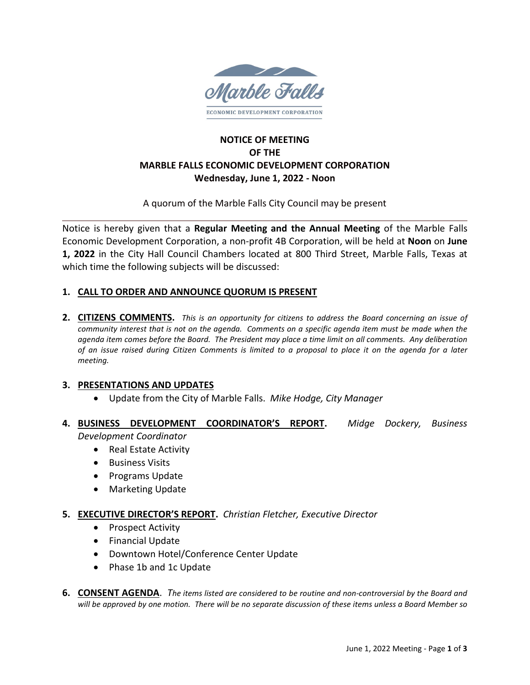

# **NOTICE OF MEETING OF THE MARBLE FALLS ECONOMIC DEVELOPMENT CORPORATION Wednesday, June 1, 2022 - Noon**

A quorum of the Marble Falls City Council may be present

Notice is hereby given that a **Regular Meeting and the Annual Meeting** of the Marble Falls Economic Development Corporation, a non-profit 4B Corporation, will be held at **Noon** on **June 1, 2022** in the City Hall Council Chambers located at 800 Third Street, Marble Falls, Texas at which time the following subjects will be discussed:

# **1. CALL TO ORDER AND ANNOUNCE QUORUM IS PRESENT**

**2. CITIZENS COMMENTS.** *This is an opportunity for citizens to address the Board concerning an issue of community interest that is not on the agenda. Comments on a specific agenda item must be made when the agenda item comes before the Board. The President may place a time limit on all comments. Any deliberation of an issue raised during Citizen Comments is limited to a proposal to place it on the agenda for a later meeting.*

### **3. PRESENTATIONS AND UPDATES**

- Update from the City of Marble Falls. *Mike Hodge, City Manager*
- **4. BUSINESS DEVELOPMENT COORDINATOR'S REPORT.** *Midge Dockery, Business Development Coordinator*
	- Real Estate Activity
	- Business Visits
	- Programs Update
	- Marketing Update
- **5. EXECUTIVE DIRECTOR'S REPORT.** *Christian Fletcher, Executive Director*
	- Prospect Activity
	- Financial Update
	- Downtown Hotel/Conference Center Update
	- Phase 1b and 1c Update
- **6. CONSENT AGENDA**. *The items listed are considered to be routine and non-controversial by the Board and will be approved by one motion. There will be no separate discussion of these items unless a Board Member so*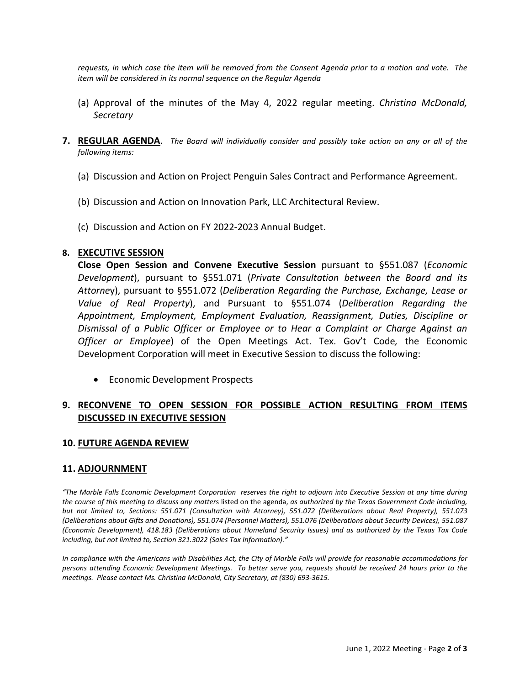*requests, in which case the item will be removed from the Consent Agenda prior to a motion and vote. The item will be considered in its normal sequence on the Regular Agenda*

- (a) Approval of the minutes of the May 4, 2022 regular meeting. *Christina McDonald, Secretary*
- **7. REGULAR AGENDA**. *The Board will individually consider and possibly take action on any or all of the following items:*
	- (a) Discussion and Action on Project Penguin Sales Contract and Performance Agreement.
	- (b) Discussion and Action on Innovation Park, LLC Architectural Review.
	- (c) Discussion and Action on FY 2022-2023 Annual Budget.

#### **8. EXECUTIVE SESSION**

**Close Open Session and Convene Executive Session** pursuant to §551.087 (*Economic Development*), pursuant to §551.071 (*Private Consultation between the Board and its Attorne*y), pursuant to §551.072 (*Deliberation Regarding the Purchase, Exchange, Lease or Value of Real Property*), and Pursuant to §551.074 (*Deliberation Regarding the Appointment, Employment, Employment Evaluation, Reassignment, Duties, Discipline or Dismissal of a Public Officer or Employee or to Hear a Complaint or Charge Against an Officer or Employee*) of the Open Meetings Act. Tex. Gov't Code*,* the Economic Development Corporation will meet in Executive Session to discuss the following:

• Economic Development Prospects

# **9. RECONVENE TO OPEN SESSION FOR POSSIBLE ACTION RESULTING FROM ITEMS DISCUSSED IN EXECUTIVE SESSION**

#### **10. FUTURE AGENDA REVIEW**

#### **11. ADJOURNMENT**

*"The Marble Falls Economic Development Corporation reserves the right to adjourn into Executive Session at any time during the course of this meeting to discuss any matter*s listed on the agenda, *as authorized by the Texas Government Code including, but not limited to, Sections: 551.071 (Consultation with Attorney), 551.072 (Deliberations about Real Property), 551.073 (Deliberations about Gifts and Donations), 551.074 (Personnel Matters), 551.076 (Deliberations about Security Devices), 551.087 (Economic Development), 418.183 (Deliberations about Homeland Security Issues) and as authorized by the Texas Tax Code including, but not limited to, Section 321.3022 (Sales Tax Information)."*

In compliance with the Americans with Disabilities Act, the City of Marble Falls will provide for reasonable accommodations for *persons attending Economic Development Meetings. To better serve you, requests should be received 24 hours prior to the meetings. Please contact Ms. Christina McDonald, City Secretary, at (830) 693-3615.*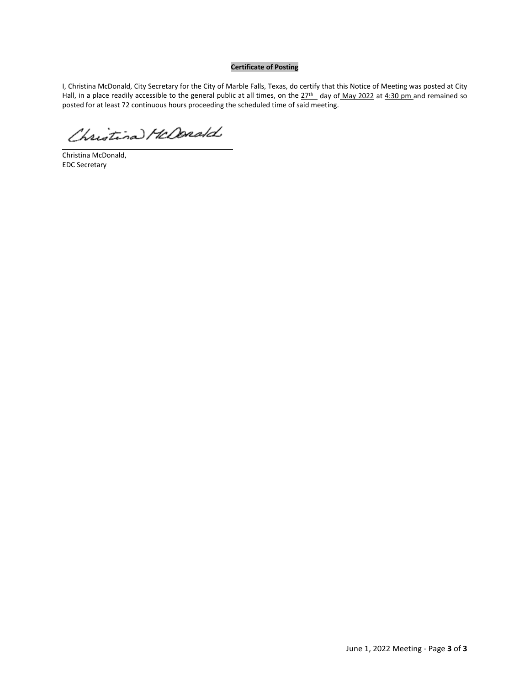#### **Certificate of Posting**

I, Christina McDonald, City Secretary for the City of Marble Falls, Texas, do certify that this Notice of Meeting was posted at City Hall, in a place readily accessible to the general public at all times, on the 27<sup>th</sup> day of May 2022 at 4:30 pm and remained so posted for at least 72 continuous hours proceeding the scheduled time of said meeting.

Christina HcDonald

Christina McDonald, EDC Secretary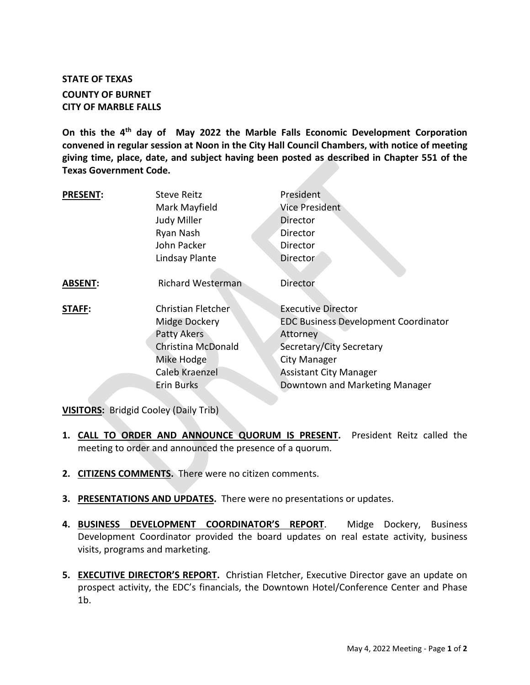# **STATE OF TEXAS COUNTY OF BURNET CITY OF MARBLE FALLS**

**On this the 4th day of May 2022 the Marble Falls Economic Development Corporation convened in regular session at Noon in the City Hall Council Chambers, with notice of meeting giving time, place, date, and subject having been posted as described in Chapter 551 of the Texas Government Code.**

| <b>PRESENT:</b> | <b>Steve Reitz</b><br>Mark Mayfield<br>Judy Miller<br>Ryan Nash<br>John Packer<br>Lindsay Plante                                     | President<br>Vice President<br>Director<br>Director<br>Director<br><b>Director</b>                                                                                                                  |
|-----------------|--------------------------------------------------------------------------------------------------------------------------------------|-----------------------------------------------------------------------------------------------------------------------------------------------------------------------------------------------------|
| <b>ABSENT:</b>  | <b>Richard Westerman</b>                                                                                                             | Director                                                                                                                                                                                            |
| <b>STAFF:</b>   | Christian Fletcher<br>Midge Dockery<br>Patty Akers<br><b>Christina McDonald</b><br>Mike Hodge<br>Caleb Kraenzel<br><b>Erin Burks</b> | <b>Executive Director</b><br><b>EDC Business Development Coordinator</b><br>Attorney<br>Secretary/City Secretary<br>City Manager<br><b>Assistant City Manager</b><br>Downtown and Marketing Manager |

**VISITORS:** Bridgid Cooley (Daily Trib)

- **1. CALL TO ORDER AND ANNOUNCE QUORUM IS PRESENT.** President Reitz called the meeting to order and announced the presence of a quorum.
- **2. CITIZENS COMMENTS.** There were no citizen comments.
- **3. PRESENTATIONS AND UPDATES.** There were no presentations or updates.
- **4. BUSINESS DEVELOPMENT COORDINATOR'S REPORT**. Midge Dockery, Business Development Coordinator provided the board updates on real estate activity, business visits, programs and marketing.
- **5. EXECUTIVE DIRECTOR'S REPORT.** Christian Fletcher, Executive Director gave an update on prospect activity, the EDC's financials, the Downtown Hotel/Conference Center and Phase 1b.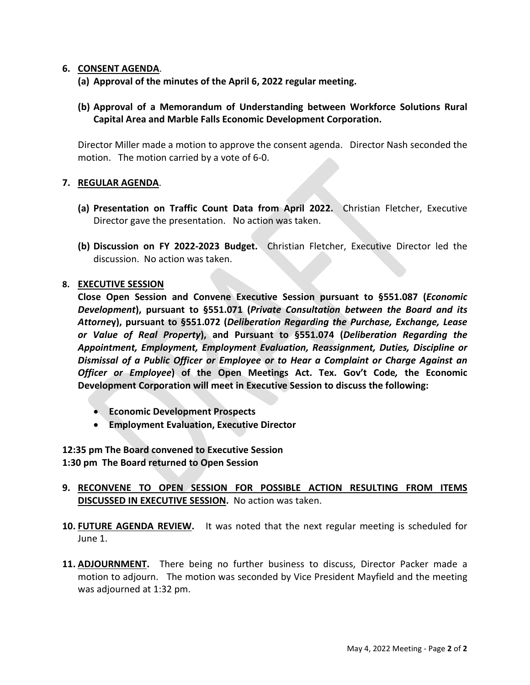#### **6. CONSENT AGENDA**.

**(a) Approval of the minutes of the April 6, 2022 regular meeting.**

# **(b) Approval of a Memorandum of Understanding between Workforce Solutions Rural Capital Area and Marble Falls Economic Development Corporation.**

Director Miller made a motion to approve the consent agenda. Director Nash seconded the motion. The motion carried by a vote of 6-0.

#### **7. REGULAR AGENDA**.

- **(a) Presentation on Traffic Count Data from April 2022.** Christian Fletcher, Executive Director gave the presentation. No action was taken.
- **(b) Discussion on FY 2022-2023 Budget.** Christian Fletcher, Executive Director led the discussion. No action was taken.

#### **8. EXECUTIVE SESSION**

**Close Open Session and Convene Executive Session pursuant to §551.087 (***Economic Development***), pursuant to §551.071 (***Private Consultation between the Board and its Attorne***y), pursuant to §551.072 (***Deliberation Regarding the Purchase, Exchange, Lease or Value of Real Property***), and Pursuant to §551.074 (***Deliberation Regarding the Appointment, Employment, Employment Evaluation, Reassignment, Duties, Discipline or Dismissal of a Public Officer or Employee or to Hear a Complaint or Charge Against an Officer or Employee***) of the Open Meetings Act. Tex. Gov't Code***,* **the Economic Development Corporation will meet in Executive Session to discuss the following:**

- **Economic Development Prospects**
- **Employment Evaluation, Executive Director**

**12:35 pm The Board convened to Executive Session 1:30 pm The Board returned to Open Session**

- **9. RECONVENE TO OPEN SESSION FOR POSSIBLE ACTION RESULTING FROM ITEMS DISCUSSED IN EXECUTIVE SESSION.** No action was taken.
- **10. FUTURE AGENDA REVIEW.** It was noted that the next regular meeting is scheduled for June 1.
- **11. ADJOURNMENT.** There being no further business to discuss, Director Packer made a motion to adjourn. The motion was seconded by Vice President Mayfield and the meeting was adjourned at 1:32 pm.